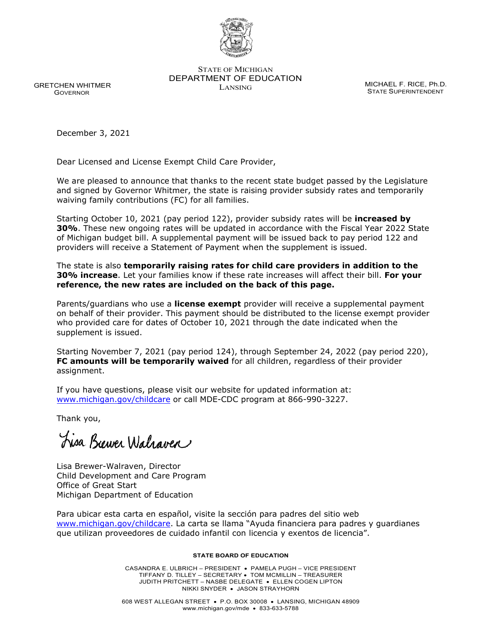

STATE OF MICHIGAN DEPARTMENT OF EDUCATION MICHAEL F. RICE, Ph.D.<br>LANSING

STATE SUPERINTENDENT

 GRETCHEN WHITMER GOVERNOR

December 3, 2021

Dear Licensed and License Exempt Child Care Provider,

We are pleased to announce that thanks to the recent state budget passed by the Legislature and signed by Governor Whitmer, the state is raising provider subsidy rates and temporarily waiving family contributions (FC) for all families.

Starting October 10, 2021 (pay period 122), provider subsidy rates will be **increased by 30%**. These new ongoing rates will be updated in accordance with the Fiscal Year 2022 State of Michigan budget bill. A supplemental payment will be issued back to pay period 122 and providers will receive a Statement of Payment when the supplement is issued.

The state is also **temporarily raising rates for child care providers in addition to the 30% increase**. Let your families know if these rate increases will affect their bill. **For your reference, the new rates are included on the back of this page.**

Parents/guardians who use a **license exempt** provider will receive a supplemental payment on behalf of their provider. This payment should be distributed to the license exempt provider who provided care for dates of October 10, 2021 through the date indicated when the supplement is issued.

Starting November 7, 2021 (pay period 124), through September 24, 2022 (pay period 220), **FC amounts will be temporarily waived** for all children, regardless of their provider assignment.

If you have questions, please visit our website for updated information at: [www.michigan.gov/childcare](http://www.michigan.gov/childcare) or call MDE-CDC program at 866-990-3227.

Thank you,

Fisa Biewer Walzaven

Lisa Brewer-Walraven, Director Child Development and Care Program Office of Great Start Michigan Department of Education

Para ubicar esta carta en español, visite la sección para padres del sitio web [www.michigan.gov/childcare.](http://www.michigan.gov/childcare) La carta se llama "Ayuda financiera para padres y guardianes que utilizan proveedores de cuidado infantil con licencia y exentos de licencia".

#### **STATE BOARD OF EDUCATION**

CASANDRA E. ULBRICH – PRESIDENT • PAMELA PUGH – VICE PRESIDENT TIFFANY D. TILLEY – SECRETARY • TOM MCMILLIN – TREASURER JUDITH PRITCHETT – NASBE DELEGATE • ELLEN COGEN LIPTON NIKKI SNYDER • JASON STRAYHORN